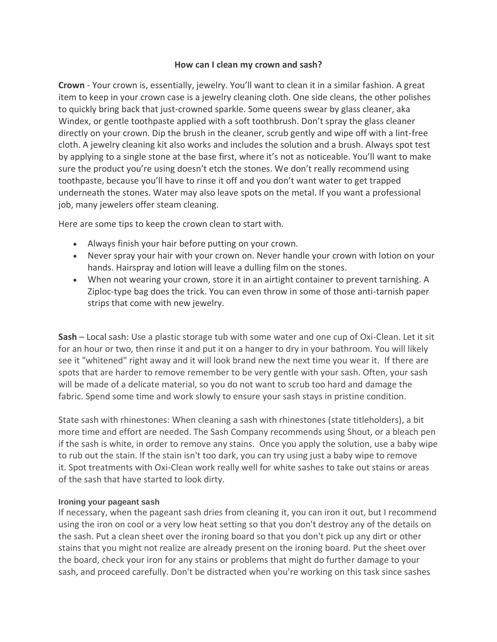## **How can I clean my crown and sash?**

**Crown** - Your crown is, essentially, jewelry. You'll want to clean it in a similar fashion. A great item to keep in your crown case is a jewelry cleaning cloth. One side cleans, the other polishes to quickly bring back that just-crowned sparkle. Some queens swear by glass cleaner, aka Windex, or gentle toothpaste applied with a soft toothbrush. Don't spray the glass cleaner directly on your crown. Dip the brush in the cleaner, scrub gently and wipe off with a lint-free cloth. A jewelry cleaning kit also works and includes the solution and a brush. Always spot test by applying to a single stone at the base first, where it's not as noticeable. You'll want to make sure the product you're using doesn't etch the stones. We don't really recommend using toothpaste, because you'll have to rinse it off and you don't want water to get trapped underneath the stones. Water may also leave spots on the metal. If you want a professional job, many jewelers offer steam cleaning.

Here are some tips to keep the crown clean to start with.

- Always finish your hair before putting on your crown.
- Never spray your hair with your crown on. Never handle your crown with lotion on your hands. Hairspray and lotion will leave a dulling film on the stones.
- When not wearing your crown, store it in an airtight container to prevent tarnishing. A Ziploc-type bag does the trick. You can even throw in some of those anti-tarnish paper strips that come with new jewelry.

**Sash** – Local sash: Use a plastic storage tub with some water and one cup of Oxi-Clean. Let it sit for an hour or two, then rinse it and put it on a hanger to dry in your bathroom. You will likely see it "whitened" right away and it will look brand new the next time you wear it. If there are spots that are harder to remove remember to be very gentle with your sash. Often, your sash will be made of a delicate material, so you do not want to scrub too hard and damage the fabric. Spend some time and work slowly to ensure your sash stays in pristine condition.

State sash with rhinestones: When cleaning a sash with rhinestones (state titleholders), a bit more time and effort are needed. The Sash Company recommends using Shout, or a bleach pen if the sash is white, in order to remove any stains. Once you apply the solution, use a baby wipe to rub out the stain. If the stain isn't too dark, you can try using just a baby wipe to remove it. Spot treatments with Oxi-Clean work really well for white sashes to take out stains or areas of the sash that have started to look dirty.

## **Ironing your pageant sash**

If necessary, when the pageant sash dries from cleaning it, you can iron it out, but I recommend using the iron on cool or a very low heat setting so that you don't destroy any of the details on the sash. Put a clean sheet over the ironing board so that you don't pick up any dirt or other stains that you might not realize are already present on the ironing board. Put the sheet over the board, check your iron for any stains or problems that might do further damage to your sash, and proceed carefully. Don't be distracted when you're working on this task since sashes